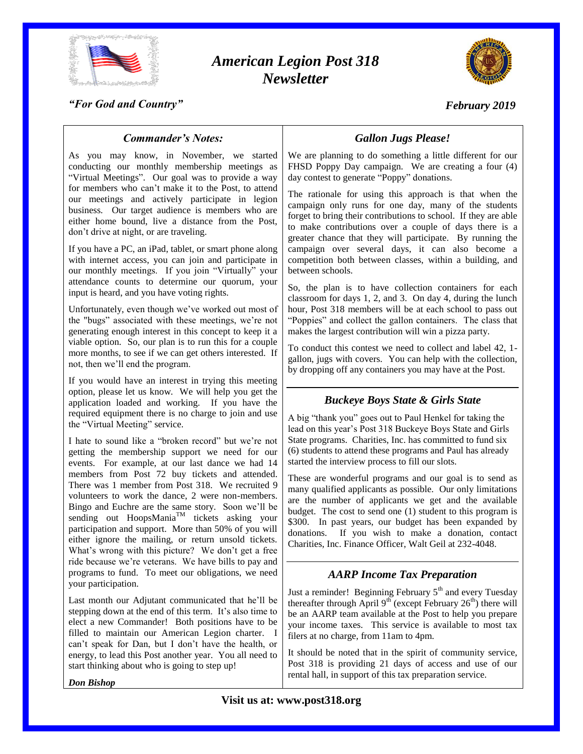

# *American Legion Post 318 Newsletter*



#### *"For God and Country"*

# *February 2019*

#### *Commander's Notes:*

As you may know, in November, we started conducting our monthly membership meetings as "Virtual Meetings". Our goal was to provide a way for members who can't make it to the Post, to attend our meetings and actively participate in legion business. Our target audience is members who are either home bound, live a distance from the Post, don't drive at night, or are traveling.

If you have a PC, an iPad, tablet, or smart phone along with internet access, you can join and participate in our monthly meetings. If you join "Virtually" your attendance counts to determine our quorum, your input is heard, and you have voting rights.

Unfortunately, even though we've worked out most of the "bugs" associated with these meetings, we're not generating enough interest in this concept to keep it a viable option. So, our plan is to run this for a couple more months, to see if we can get others interested. If not, then we'll end the program.

If you would have an interest in trying this meeting option, please let us know. We will help you get the application loaded and working. If you have the required equipment there is no charge to join and use the "Virtual Meeting" service.

I hate to sound like a "broken record" but we're not getting the membership support we need for our events. For example, at our last dance we had 14 members from Post 72 buy tickets and attended. There was 1 member from Post 318. We recruited 9 volunteers to work the dance, 2 were non-members. Bingo and Euchre are the same story. Soon we'll be sending out HoopsMania<sup>TM</sup> tickets asking your participation and support. More than 50% of you will either ignore the mailing, or return unsold tickets. What's wrong with this picture? We don't get a free ride because we're veterans. We have bills to pay and programs to fund. To meet our obligations, we need your participation.

Last month our Adjutant communicated that he'll be stepping down at the end of this term. It's also time to elect a new Commander! Both positions have to be filled to maintain our American Legion charter. I can't speak for Dan, but I don't have the health, or energy, to lead this Post another year. You all need to start thinking about who is going to step up!

*Don Bishop*

### *Gallon Jugs Please!*

We are planning to do something a little different for our FHSD Poppy Day campaign. We are creating a four (4) day contest to generate "Poppy" donations.

The rationale for using this approach is that when the campaign only runs for one day, many of the students forget to bring their contributions to school. If they are able to make contributions over a couple of days there is a greater chance that they will participate. By running the campaign over several days, it can also become a competition both between classes, within a building, and between schools.

So, the plan is to have collection containers for each classroom for days 1, 2, and 3. On day 4, during the lunch hour, Post 318 members will be at each school to pass out "Poppies" and collect the gallon containers. The class that makes the largest contribution will win a pizza party.

To conduct this contest we need to collect and label 42, 1 gallon, jugs with covers. You can help with the collection, by dropping off any containers you may have at the Post.

#### *Buckeye Boys State & Girls State*

A big "thank you" goes out to Paul Henkel for taking the lead on this year's Post 318 Buckeye Boys State and Girls State programs. Charities, Inc. has committed to fund six (6) students to attend these programs and Paul has already started the interview process to fill our slots.

These are wonderful programs and our goal is to send as many qualified applicants as possible. Our only limitations are the number of applicants we get and the available budget. The cost to send one (1) student to this program is \$300. In past years, our budget has been expanded by donations. If you wish to make a donation, contact Charities, Inc. Finance Officer, Walt Geil at 232-4048.

#### *AARP Income Tax Preparation*

Just a reminder! Beginning February  $5<sup>th</sup>$  and every Tuesday thereafter through April  $9^{th}$  (except February  $26^{th}$ ) there will be an AARP team available at the Post to help you prepare your income taxes. This service is available to most tax filers at no charge, from 11am to 4pm.

It should be noted that in the spirit of community service, Post 318 is providing 21 days of access and use of our rental hall, in support of this tax preparation service.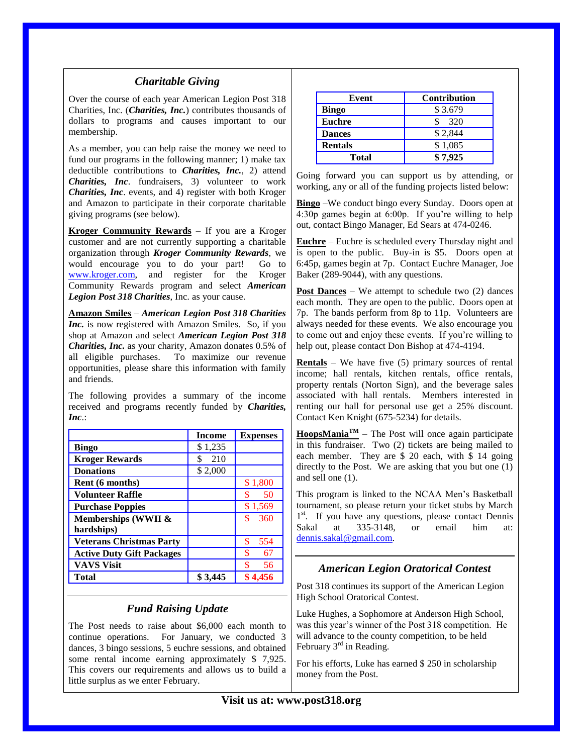#### *Charitable Giving*

Over the course of each year American Legion Post 318 Charities, Inc. (*Charities, Inc.*) contributes thousands of dollars to programs and causes important to our membership.

As a member, you can help raise the money we need to fund our programs in the following manner; 1) make tax deductible contributions to *Charities, Inc.*, 2) attend *Charities, Inc*. fundraisers, 3) volunteer to work *Charities, Inc*. events, and 4) register with both Kroger and Amazon to participate in their corporate charitable giving programs (see below).

**Kroger Community Rewards** – If you are a Kroger customer and are not currently supporting a charitable organization through *Kroger Community Rewards*, we would encourage you to do your part! Go to [www.kroger.com,](http://www.kroger.com/) and register for the Kroger Community Rewards program and select *American Legion Post 318 Charities*, Inc. as your cause.

**Amazon Smiles** – *American Legion Post 318 Charities Inc.* is now registered with Amazon Smiles. So, if you shop at Amazon and select *American Legion Post 318 Charities, Inc.* as your charity, Amazon donates 0.5% of all eligible purchases. To maximize our revenue opportunities, please share this information with family and friends.

The following provides a summary of the income received and programs recently funded by *Charities, Inc*.:

|                                  | <b>Income</b> | <b>Expenses</b> |
|----------------------------------|---------------|-----------------|
| <b>Bingo</b>                     | \$1,235       |                 |
| <b>Kroger Rewards</b>            | 210           |                 |
| <b>Donations</b>                 | \$2,000       |                 |
| Rent (6 months)                  |               | \$1,800         |
| <b>Volunteer Raffle</b>          |               | 50              |
| <b>Purchase Poppies</b>          |               | \$1,569         |
| Memberships (WWII &              |               | \$<br>360       |
| hardships)                       |               |                 |
| <b>Veterans Christmas Party</b>  |               | \$<br>554       |
| <b>Active Duty Gift Packages</b> |               | 67              |
| <b>VAVS Visit</b>                |               | \$<br>56        |
| Total                            | \$ 3.445      | \$4.456         |

### *Fund Raising Update*

The Post needs to raise about \$6,000 each month to continue operations. For January, we conducted 3 dances, 3 bingo sessions, 5 euchre sessions, and obtained some rental income earning approximately \$ 7,925. This covers our requirements and allows us to build a little surplus as we enter February.

| Event          | <b>Contribution</b> |
|----------------|---------------------|
| <b>Bingo</b>   | \$3.679             |
| <b>Euchre</b>  | 320                 |
| <b>Dances</b>  | \$2,844             |
| <b>Rentals</b> | \$1,085             |
| <b>Total</b>   | \$7,925             |

Going forward you can support us by attending, or working, any or all of the funding projects listed below:

**Bingo** –We conduct bingo every Sunday. Doors open at 4:30p games begin at 6:00p. If you're willing to help out, contact Bingo Manager, Ed Sears at 474-0246.

**Euchre** – Euchre is scheduled every Thursday night and is open to the public. Buy-in is \$5. Doors open at 6:45p, games begin at 7p. Contact Euchre Manager, Joe Baker (289-9044), with any questions.

**Post Dances** – We attempt to schedule two (2) dances each month. They are open to the public. Doors open at 7p. The bands perform from 8p to 11p. Volunteers are always needed for these events. We also encourage you to come out and enjoy these events. If you're willing to help out, please contact Don Bishop at 474-4194.

**Rentals** – We have five (5) primary sources of rental income; hall rentals, kitchen rentals, office rentals, property rentals (Norton Sign), and the beverage sales associated with hall rentals. Members interested in renting our hall for personal use get a 25% discount. Contact Ken Knight (675-5234) for details.

**HoopsMania**<sup> $TM$ </sup> – The Post will once again participate in this fundraiser. Two (2) tickets are being mailed to each member. They are \$ 20 each, with \$ 14 going directly to the Post. We are asking that you but one (1) and sell one (1).

This program is linked to the NCAA Men's Basketball tournament, so please return your ticket stubs by March 1<sup>st</sup>. If you have any questions, please contact Dennis Sakal at 335-3148, or email him at: [dennis.sakal@gmail.com.](mailto:dennis.sakal@gmail.com)

### *American Legion Oratorical Contest*

Post 318 continues its support of the American Legion High School Oratorical Contest.

Luke Hughes, a Sophomore at Anderson High School, was this year's winner of the Post 318 competition. He will advance to the county competition, to be held February  $3<sup>rd</sup>$  in Reading.

For his efforts, Luke has earned \$ 250 in scholarship money from the Post.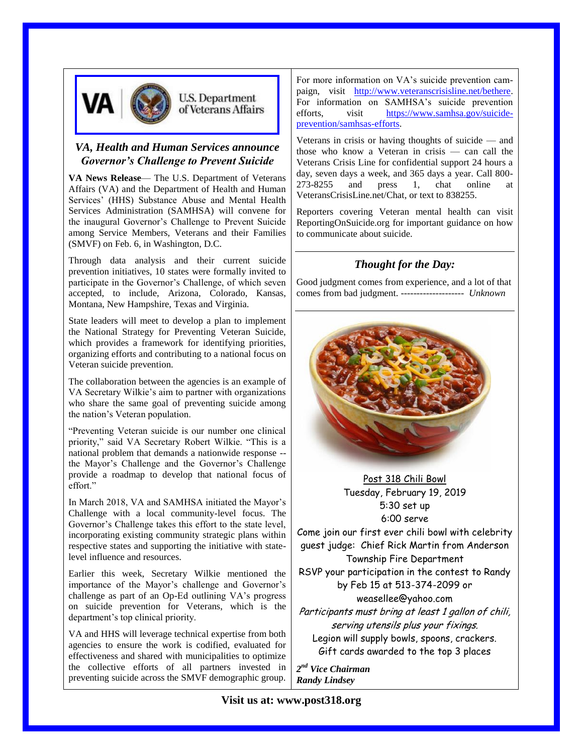

### *VA, Health and Human Services announce Governor's Challenge to Prevent Suicide*

**VA News Release**— The U.S. Department of Veterans Affairs (VA) and the Department of Health and Human Services' (HHS) Substance Abuse and Mental Health Services Administration (SAMHSA) will convene for the inaugural Governor's Challenge to Prevent Suicide among Service Members, Veterans and their Families (SMVF) on Feb. 6, in Washington, D.C.

Through data analysis and their current suicide prevention initiatives, 10 states were formally invited to participate in the Governor's Challenge, of which seven accepted, to include, Arizona, Colorado, Kansas, Montana, New Hampshire, Texas and Virginia.

State leaders will meet to develop a plan to implement the National Strategy for Preventing Veteran Suicide, which provides a framework for identifying priorities, organizing efforts and contributing to a national focus on Veteran suicide prevention.

The collaboration between the agencies is an example of VA Secretary Wilkie's aim to partner with organizations who share the same goal of preventing suicide among the nation's Veteran population.

"Preventing Veteran suicide is our number one clinical priority," said VA Secretary Robert Wilkie. "This is a national problem that demands a nationwide response - the Mayor's Challenge and the Governor's Challenge provide a roadmap to develop that national focus of effort."

In March 2018, VA and SAMHSA initiated the Mayor's Challenge with a local community-level focus. The Governor's Challenge takes this effort to the state level, incorporating existing community strategic plans within respective states and supporting the initiative with statelevel influence and resources.

Earlier this week, Secretary Wilkie mentioned the importance of the Mayor's challenge and Governor's challenge as part of an Op-Ed outlining VA's progress on suicide prevention for Veterans, which is the department's top clinical priority.

VA and HHS will leverage technical expertise from both agencies to ensure the work is codified, evaluated for effectiveness and shared with municipalities to optimize the collective efforts of all partners invested in preventing suicide across the SMVF demographic group.

For more information on VA's suicide prevention campaign, visit [http://www.veteranscrisisline.net/bethere.](http://www.veteranscrisisline.net/bethere) For information on SAMHSA's suicide prevention efforts, visit [https://www.samhsa.gov/suicide](https://www.samhsa.gov/suicide-prevention/samhsas-efforts)[prevention/samhsas-efforts.](https://www.samhsa.gov/suicide-prevention/samhsas-efforts)

Veterans in crisis or having thoughts of suicide — and those who know a Veteran in crisis — can call the Veterans Crisis Line for confidential support 24 hours a day, seven days a week, and 365 days a year. Call 800- 273-8255 and press 1, chat online at VeteransCrisisLine.net/Chat, or text to 838255.

Reporters covering Veteran mental health can visit ReportingOnSuicide.org for important guidance on how to communicate about suicide.

## *Thought for the Day:*

Good judgment comes from experience, and a lot of that comes from bad judgment. -------------------- *Unknown*



Post 318 Chili Bowl Tuesday, February 19, 2019 5:30 set up 6:00 serve

Come join our first ever chili bowl with celebrity guest judge: Chief Rick Martin from Anderson Township Fire Department

RSVP your participation in the contest to Randy by Feb 15 at 513-374-2099 or

weasellee@yahoo.com

Participants must bring at least 1 gallon of chili, serving utensils plus your fixings. Legion will supply bowls, spoons, crackers. Gift cards awarded to the top 3 places

*2 nd Vice Chairman Randy Lindsey*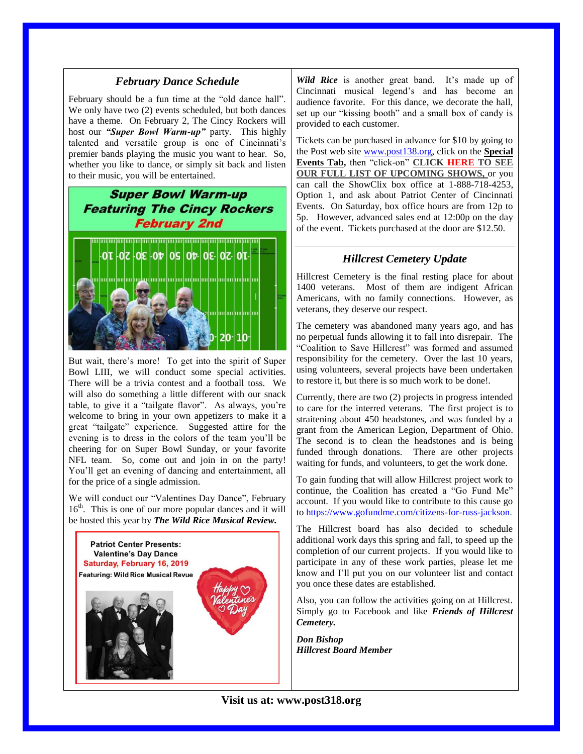#### *February Dance Schedule*

February should be a fun time at the "old dance hall". We only have two (2) events scheduled, but both dances have a theme. On February 2, The Cincy Rockers will host our *"Super Bowl Warm-up"* party. This highly talented and versatile group is one of Cincinnati's premier bands playing the music you want to hear. So, whether you like to dance, or simply sit back and listen to their music, you will be entertained.

# **Super Bowl Warm-up Featuring The Cincy Rockers February 2nd**



But wait, there's more! To get into the spirit of Super Bowl LIII, we will conduct some special activities. There will be a trivia contest and a football toss. We will also do something a little different with our snack table, to give it a "tailgate flavor". As always, you're welcome to bring in your own appetizers to make it a great "tailgate" experience. Suggested attire for the evening is to dress in the colors of the team you'll be cheering for on Super Bowl Sunday, or your favorite NFL team. So, come out and join in on the party! You'll get an evening of dancing and entertainment, all for the price of a single admission.

We will conduct our "Valentines Day Dance", February 16<sup>th</sup>. This is one of our more popular dances and it will be hosted this year by *The Wild Rice Musical Review.* 



*Wild Rice* is another great band. It's made up of Cincinnati musical legend's and has become an audience favorite. For this dance, we decorate the hall, set up our "kissing booth" and a small box of candy is provided to each customer.

Tickets can be purchased in advance for \$10 by going to the Post web site [www.post138.org,](http://www.post138.org/) click on the **Special Events Tab,** then "click-on" **CLICK [HERE](http://post318.org/special-events/dance-tickets/#dancecal) TO SEE OUR FULL LIST OF UPCOMING SHOWS,** or you can call the ShowClix box office at 1-888-718-4253, Option 1, and ask about Patriot Center of Cincinnati Events. On Saturday, box office hours are from 12p to 5p. However, advanced sales end at 12:00p on the day of the event. Tickets purchased at the door are \$12.50.

### *Hillcrest Cemetery Update*

Hillcrest Cemetery is the final resting place for about 1400 veterans. Most of them are indigent African Americans, with no family connections. However, as veterans, they deserve our respect.

The cemetery was abandoned many years ago, and has no perpetual funds allowing it to fall into disrepair. The "Coalition to Save Hillcrest" was formed and assumed responsibility for the cemetery. Over the last 10 years, using volunteers, several projects have been undertaken to restore it, but there is so much work to be done!.

Currently, there are two (2) projects in progress intended to care for the interred veterans. The first project is to straitening about 450 headstones, and was funded by a grant from the American Legion, Department of Ohio. The second is to clean the headstones and is being funded through donations. There are other projects waiting for funds, and volunteers, to get the work done.

To gain funding that will allow Hillcrest project work to continue, the Coalition has created a "Go Fund Me" account. If you would like to contribute to this cause go t[o https://www.gofundme.com/citizens-for-russ-jackson.](https://www.gofundme.com/citizens-for-russ-jackson)

The Hillcrest board has also decided to schedule additional work days this spring and fall, to speed up the completion of our current projects. If you would like to participate in any of these work parties, please let me know and I'll put you on our volunteer list and contact you once these dates are established.

Also, you can follow the activities going on at Hillcrest. Simply go to Facebook and like *Friends of Hillcrest Cemetery.*

*Don Bishop Hillcrest Board Member*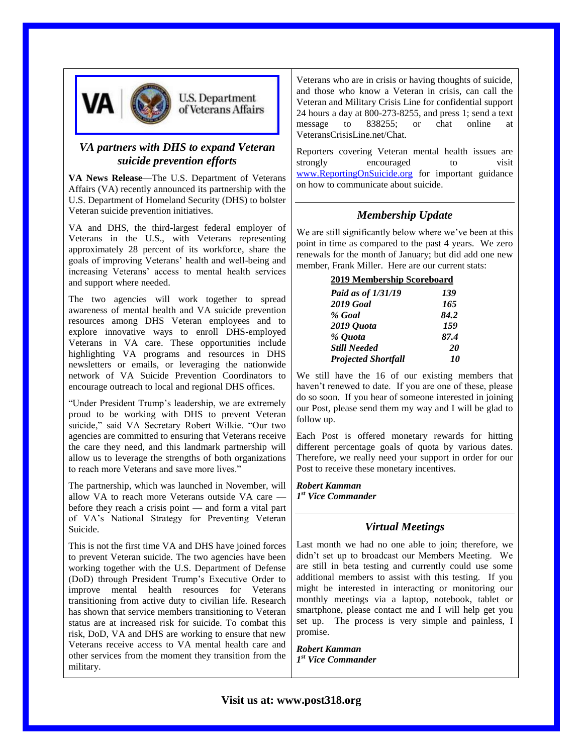

### *VA partners with DHS to expand Veteran suicide prevention efforts*

**VA News Release**—The U.S. Department of Veterans Affairs (VA) recently announced its partnership with the U.S. Department of Homeland Security (DHS) to bolster Veteran suicide prevention initiatives.

VA and DHS, the third-largest federal employer of Veterans in the U.S., with Veterans representing approximately 28 percent of its workforce, share the goals of improving Veterans' health and well-being and increasing Veterans' access to mental health services and support where needed.

The two agencies will work together to spread awareness of mental health and VA suicide prevention resources among DHS Veteran employees and to explore innovative ways to enroll DHS-employed Veterans in VA care. These opportunities include highlighting VA programs and resources in DHS newsletters or emails, or leveraging the nationwide network of VA Suicide Prevention Coordinators to encourage outreach to local and regional DHS offices.

"Under President Trump's leadership, we are extremely proud to be working with DHS to prevent Veteran suicide," said VA Secretary Robert Wilkie. "Our two agencies are committed to ensuring that Veterans receive the care they need, and this landmark partnership will allow us to leverage the strengths of both organizations to reach more Veterans and save more lives."

The partnership, which was launched in November, will allow VA to reach more Veterans outside VA care before they reach a crisis point — and form a vital part of VA's National Strategy for Preventing Veteran Suicide.

This is not the first time VA and DHS have joined forces to prevent Veteran suicide. The two agencies have been working together with the U.S. Department of Defense (DoD) through President Trump's Executive Order to improve mental health resources for Veterans transitioning from active duty to civilian life. Research has shown that service members transitioning to Veteran status are at increased risk for suicide. To combat this risk, DoD, VA and DHS are working to ensure that new Veterans receive access to VA mental health care and other services from the moment they transition from the military.

Veterans who are in crisis or having thoughts of suicide, and those who know a Veteran in crisis, can call the Veteran and Military Crisis Line for confidential support 24 hours a day at 800-273-8255, and press 1; send a text message to 838255; or chat online at VeteransCrisisLine.net/Chat.

Reporters covering Veteran mental health issues are strongly encouraged to visit [www.ReportingOnSuicide.org](http://www.reportingonsuicide.org/) for important guidance on how to communicate about suicide.

### *Membership Update*

We are still significantly below where we've been at this point in time as compared to the past 4 years. We zero renewals for the month of January; but did add one new member, Frank Miller. Here are our current stats:

| 2019 Membership Scoreboard |           |  |
|----------------------------|-----------|--|
| Paid as of 1/31/19         | 139       |  |
| <b>2019 Goal</b>           | 165       |  |
| % Goal                     | 84.2      |  |
| 2019 Quota                 | 159       |  |
| % Quota                    | 87.4      |  |
| <b>Still Needed</b>        | <b>20</b> |  |
| <b>Projected Shortfall</b> | 10        |  |

We still have the 16 of our existing members that haven't renewed to date. If you are one of these, please do so soon. If you hear of someone interested in joining our Post, please send them my way and I will be glad to follow up.

Each Post is offered monetary rewards for hitting different percentage goals of quota by various dates. Therefore, we really need your support in order for our Post to receive these monetary incentives.

*Robert Kamman 1 st Vice Commander*

### *Virtual Meetings*

Last month we had no one able to join; therefore, we didn't set up to broadcast our Members Meeting. We are still in beta testing and currently could use some additional members to assist with this testing. If you might be interested in interacting or monitoring our monthly meetings via a laptop, notebook, tablet or smartphone, please contact me and I will help get you set up. The process is very simple and painless, I promise.

*Robert Kamman 1 st Vice Commander*